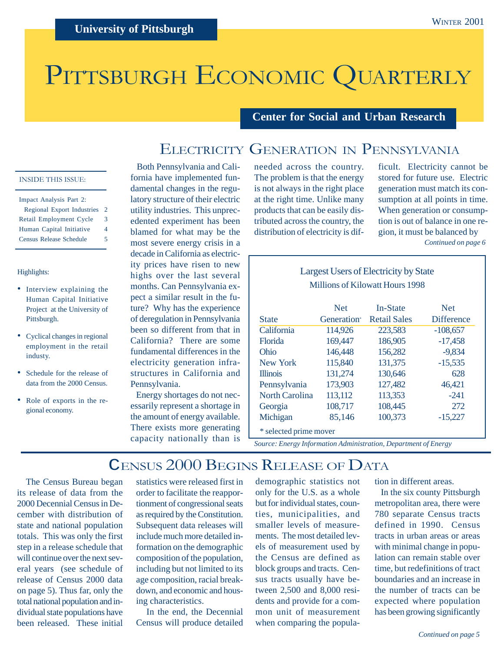# PITTSBURGH ECONOMIC QUARTERLY

### **Center for Social and Urban Research**

## ELECTRICITY GENERATION IN PENNSYLVANIA

#### INSIDE THIS ISSUE:

| Impact Analysis Part 2:           |   |
|-----------------------------------|---|
| <b>Regional Export Industries</b> | 2 |
| Retail Employment Cycle           | 3 |
| Human Capital Initiative          | 4 |
| <b>Census Release Schedule</b>    | 5 |
|                                   |   |

#### Highlights:

- Interview explaining the Human Capital Initiative Project at the University of Pittsburgh.
- Cyclical changes in regional employment in the retail industy.
- Schedule for the release of data from the 2000 Census.
- Role of exports in the regional economy.

 Both Pennsylvania and California have implemented fundamental changes in the regulatory structure of their electric utility industries. This unprecedented experiment has been blamed for what may be the most severe energy crisis in a decade in California as electricity prices have risen to new highs over the last several months. Can Pennsylvania expect a similar result in the future? Why has the experience of deregulation in Pennsylvania been so different from that in California? There are some fundamental differences in the electricity generation infrastructures in California and Pennsylvania.

 Energy shortages do not necessarily represent a shortage in the amount of energy available. There exists more generating capacity nationally than is

needed across the country. The problem is that the energy is not always in the right place at the right time. Unlike many products that can be easily distributed across the country, the distribution of electricity is dif-

ficult. Electricity cannot be stored for future use. Electric generation must match its consumption at all points in time. When generation or consumption is out of balance in one region, it must be balanced by

*Continued on page 6*

### Largest Users of Electricity by State Millions of Kilowatt Hours 1998

|                        | <b>Net</b>  | In-State            | <b>Net</b>        |  |  |  |
|------------------------|-------------|---------------------|-------------------|--|--|--|
| <b>State</b>           | Generation* | <b>Retail Sales</b> | <b>Difference</b> |  |  |  |
| California             | 114,926     | 223,583             | $-108,657$        |  |  |  |
| <b>Florida</b>         | 169,447     | 186,905             | $-17,458$         |  |  |  |
| Ohio                   | 146,448     | 156,282             | $-9,834$          |  |  |  |
| New York               | 115,840     | 131,375             | $-15,535$         |  |  |  |
| <b>Illinois</b>        | 131,274     | 130,646             | 628               |  |  |  |
| Pennsylvania           | 173,903     | 127,482             | 46,421            |  |  |  |
| <b>North Carolina</b>  | 113,112     | 113,353             | $-241$            |  |  |  |
| Georgia                | 108,717     | 108,445             | 272               |  |  |  |
| Michigan               | 85,146      | 100,373             | $-15,227$         |  |  |  |
| * selected prime mover |             |                     |                   |  |  |  |

*Source: Energy Information Administration, Department of Energy*

### CENSUS 2000 BEGINS RELEASE OF DATA

 The Census Bureau began its release of data from the 2000 Decennial Census in December with distribution of state and national population totals. This was only the first step in a release schedule that will continue over the next several years (see schedule of release of Census 2000 data on page 5). Thus far, only the total national population and individual state populations have been released. These initial statistics were released first in order to facilitate the reapportionment of congressional seats as required by the Constitution. Subsequent data releases will include much more detailed information on the demographic composition of the population, including but not limited to its age composition, racial breakdown, and economic and housing characteristics.

 In the end, the Decennial Census will produce detailed

demographic statistics not only for the U.S. as a whole but for individual states, counties, municipalities, and smaller levels of measurements. The most detailed levels of measurement used by the Census are defined as block groups and tracts. Census tracts usually have between 2,500 and 8,000 residents and provide for a common unit of measurement when comparing the population in different areas.

 In the six county Pittsburgh metropolitan area, there were 780 separate Census tracts defined in 1990. Census tracts in urban areas or areas with minimal change in population can remain stable over time, but redefinitions of tract boundaries and an increase in the number of tracts can be expected where population has been growing significantly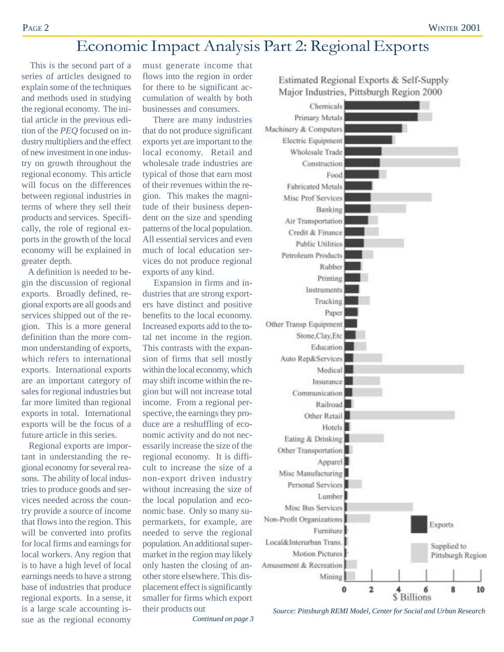## Economic Impact Analysis Part 2: Regional Exports

 This is the second part of a series of articles designed to explain some of the techniques and methods used in studying the regional economy. The initial article in the previous edition of the *PEQ* focused on industry multipliers and the effect of new investment in one industry on growth throughout the regional economy. This article will focus on the differences between regional industries in terms of where they sell their products and services. Specifically, the role of regional exports in the growth of the local economy will be explained in greater depth.

 A definition is needed to begin the discussion of regional exports. Broadly defined, regional exports are all goods and services shipped out of the region. This is a more general definition than the more common understanding of exports, which refers to international exports. International exports are an important category of sales for regional industries but far more limited than regional exports in total. International exports will be the focus of a future article in this series.

 Regional exports are important in understanding the regional economy for several reasons. The ability of local industries to produce goods and services needed across the country provide a source of income that flows into the region. This will be converted into profits for local firms and earnings for local workers. Any region that is to have a high level of local earnings needs to have a strong base of industries that produce regional exports. In a sense, it is a large scale accounting issue as the regional economy

must generate income that flows into the region in order for there to be significant accumulation of wealth by both businesses and consumers.

 There are many industries that do not produce significant exports yet are important to the local economy. Retail and wholesale trade industries are typical of those that earn most of their revenues within the region. This makes the magnitude of their business dependent on the size and spending patterns of the local population. All essential services and even much of local education services do not produce regional exports of any kind.

Expansion in firms and industries that are strong exporters have distinct and positive benefits to the local economy. Increased exports add to the total net income in the region. This contrasts with the expansion of firms that sell mostly within the local economy, which may shift income within the region but will not increase total income. From a regional perspective, the earnings they produce are a reshuffling of economic activity and do not necessarily increase the size of the regional economy. It is difficult to increase the size of a non-export driven industry without increasing the size of the local population and economic base. Only so many supermarkets, for example, are needed to serve the regional population. An additional supermarket in the region may likely only hasten the closing of another store elsewhere. This displacement effect is significantly smaller for firms which export their products out

*Continued on page 3*



Estimated Regional Exports & Self-Supply Major Industries, Pittsburgh Region 2000

*Source: Pittsburgh REMI Model, Center for Social and Urban Research*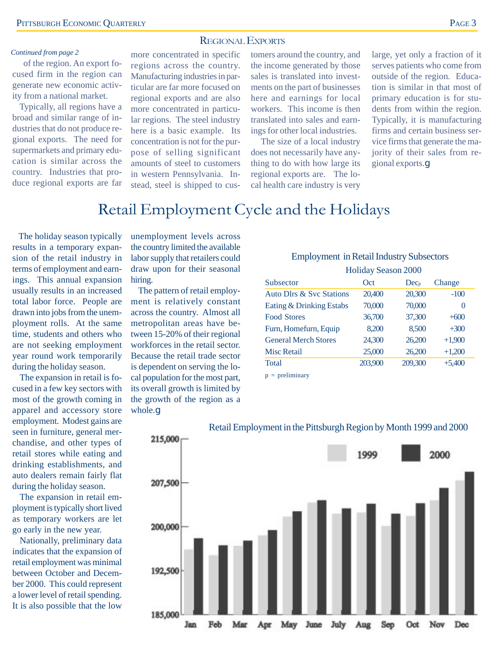#### REGIONAL EXPORTS

#### *Continued from page 2*

of the region. An export focused firm in the region can generate new economic activity from a national market.

 Typically, all regions have a broad and similar range of industries that do not produce regional exports. The need for supermarkets and primary education is similar across the country. Industries that produce regional exports are far

more concentrated in specific regions across the country. Manufacturing industries in particular are far more focused on regional exports and are also more concentrated in particular regions. The steel industry here is a basic example. Its concentration is not for the purpose of selling significant amounts of steel to customers in western Pennsylvania. Instead, steel is shipped to cus-

tomers around the country, and the income generated by those sales is translated into investments on the part of businesses here and earnings for local workers. This income is then translated into sales and earnings for other local industries.

 The size of a local industry does not necessarily have anything to do with how large its regional exports are. The local health care industry is very

large, yet only a fraction of it serves patients who come from outside of the region. Education is similar in that most of primary education is for students from within the region. Typically, it is manufacturing firms and certain business service firms that generate the majority of their sales from regional exports.g

### Retail Employment Cycle and the Holidays

 The holiday season typically results in a temporary expansion of the retail industry in terms of employment and earnings. This annual expansion usually results in an increased total labor force. People are drawn into jobs from the unemployment rolls. At the same time, students and others who are not seeking employment year round work temporarily during the holiday season.

The expansion in retail is focused in a few key sectors with most of the growth coming in apparel and accessory store employment. Modest gains are seen in furniture, general merchandise, and other types of retail stores while eating and drinking establishments, and auto dealers remain fairly flat during the holiday season.

The expansion in retail employment is typically short lived as temporary workers are let go early in the new year.

Nationally, preliminary data indicates that the expansion of retail employment was minimal between October and December 2000. This could represent a lower level of retail spending. It is also possible that the low

unemployment levels across the country limited the available labor supply that retailers could draw upon for their seasonal hiring.

The pattern of retail employment is relatively constant across the country. Almost all metropolitan areas have between 15-20% of their regional workforces in the retail sector. Because the retail trade sector is dependent on serving the local population for the most part, its overall growth is limited by the growth of the region as a whole.g

#### Employment in Retail Industry Subsectors

| Holiday Season 2000         |         |           |          |  |  |
|-----------------------------|---------|-----------|----------|--|--|
| Subsector                   | Oct     | $Dec_{p}$ | Change   |  |  |
| Auto Dlrs & Syc Stations    | 20,400  | 20,300    | $-100$   |  |  |
| Eating & Drinking Estabs    | 70,000  | 70,000    | $\theta$ |  |  |
| <b>Food Stores</b>          | 36,700  | 37,300    | $+600$   |  |  |
| Furn, Homefurn, Equip       | 8,200   | 8,500     | $+300$   |  |  |
| <b>General Merch Stores</b> | 24,300  | 26,200    | $+1,900$ |  |  |
| <b>Misc Retail</b>          | 25,000  | 26,200    | $+1,200$ |  |  |
| <b>Total</b>                | 203,900 | 209,300   | $+5,400$ |  |  |
|                             |         |           |          |  |  |

 $p =$  preliminary



#### Retail Employment in the Pittsburgh Region by Month 1999 and 2000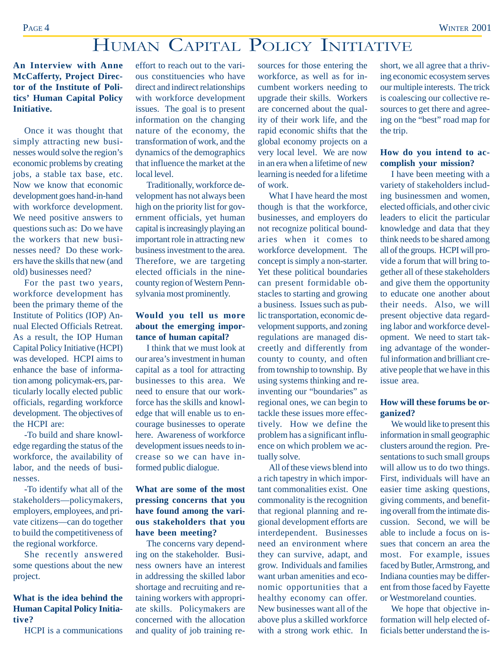## HUMAN CAPITAL POLICY INITIATIVE

**An Interview with Anne McCafferty, Project Director of the Institute of Politics' Human Capital Policy Initiative.**

Once it was thought that simply attracting new businesses would solve the region's economic problems by creating jobs, a stable tax base, etc. Now we know that economic development goes hand-in-hand with workforce development. We need positive answers to questions such as: Do we have the workers that new businesses need? Do these workers have the skills that new (and old) businesses need?

For the past two years, workforce development has been the primary theme of the Institute of Politics (IOP) Annual Elected Officials Retreat. As a result, the IOP Human Capital Policy Initiative (HCPI) was developed. HCPI aims to enhance the base of information among policymak-ers, particularly locally elected public officials, regarding workforce development. The objectives of the HCPI are:

-To build and share knowledge regarding the status of the workforce, the availability of labor, and the needs of businesses.

-To identify what all of the stakeholders—policymakers, employers, employees, and private citizens—can do together to build the competitiveness of the regional workforce.

She recently answered some questions about the new project.

#### **What is the idea behind the Human Capital Policy Initiative?**

HCPI is a communications

effort to reach out to the various constituencies who have direct and indirect relationships with workforce development issues. The goal is to present information on the changing nature of the economy, the transformation of work, and the dynamics of the demographics that influence the market at the local level.

Traditionally, workforce development has not always been high on the priority list for government officials, yet human capital is increasingly playing an important role in attracting new business investment to the area. Therefore, we are targeting elected officials in the ninecounty region of Western Pennsylvania most prominently.

#### **Would you tell us more about the emerging importance of human capital?**

I think that we must look at our area's investment in human capital as a tool for attracting businesses to this area. We need to ensure that our workforce has the skills and knowledge that will enable us to encourage businesses to operate here. Awareness of workforce development issues needs to increase so we can have informed public dialogue.

#### **What are some of the most pressing concerns that you have found among the various stakeholders that you have been meeting?**

The concerns vary depending on the stakeholder. Business owners have an interest in addressing the skilled labor shortage and recruiting and retaining workers with appropriate skills. Policymakers are concerned with the allocation and quality of job training re-

sources for those entering the workforce, as well as for incumbent workers needing to upgrade their skills. Workers are concerned about the quality of their work life, and the rapid economic shifts that the global economy projects on a very local level. We are now in an era when a lifetime of new learning is needed for a lifetime of work.

What I have heard the most though is that the workforce, businesses, and employers do not recognize political boundaries when it comes to workforce development. The concept is simply a non-starter. Yet these political boundaries can present formidable obstacles to starting and growing a business. Issues such as public transportation, economic development supports, and zoning regulations are managed discreetly and differently from county to county, and often from township to township. By using systems thinking and reinventing our "boundaries" as regional ones, we can begin to tackle these issues more effectively. How we define the problem has a significant influence on which problem we actually solve.

All of these views blend into a rich tapestry in which important commonalities exist. One commonality is the recognition that regional planning and regional development efforts are interdependent. Businesses need an environment where they can survive, adapt, and grow. Individuals and families want urban amenities and economic opportunities that a healthy economy can offer. New businesses want all of the above plus a skilled workforce with a strong work ethic. In

short, we all agree that a thriving economic ecosystem serves our multiple interests. The trick is coalescing our collective resources to get there and agreeing on the "best" road map for the trip.

#### **How do you intend to accomplish your mission?**

I have been meeting with a variety of stakeholders including businessmen and women, elected officials, and other civic leaders to elicit the particular knowledge and data that they think needs to be shared among all of the groups. HCPI will provide a forum that will bring together all of these stakeholders and give them the opportunity to educate one another about their needs. Also, we will present objective data regarding labor and workforce development. We need to start taking advantage of the wonderful information and brilliant creative people that we have in this issue area.

#### **How will these forums be organized?**

We would like to present this information in small geographic clusters around the region. Presentations to such small groups will allow us to do two things. First, individuals will have an easier time asking questions, giving comments, and benefiting overall from the intimate discussion. Second, we will be able to include a focus on issues that concern an area the most. For example, issues faced by Butler, Armstrong, and Indiana counties may be different from those faced by Fayette or Westmoreland counties.

We hope that objective information will help elected officials better understand the is-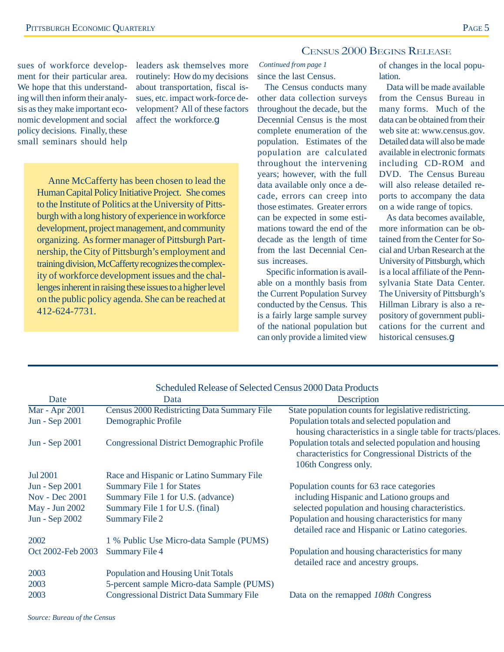#### CENSUS 2000 BEGINS RELEASE

sues of workforce development for their particular area. We hope that this understanding will then inform their analysis as they make important economic development and social policy decisions. Finally, these small seminars should help leaders ask themselves more *Continued from page 1* routinely: How do my decisions about transportation, fiscal issues, etc. impact work-force development? All of these factors affect the workforce.g

Anne McCafferty has been chosen to lead the Human Capital Policy Initiative Project. She comes to the Institute of Politics at the University of Pittsburgh with a long history of experience in workforce development, project management, and community organizing. As former manager of Pittsburgh Partnership, the City of Pittsburgh's employment and training division, McCafferty recognizes the complexity of workforce development issues and the challenges inherent in raising these issues to a higher level on the public policy agenda. She can be reached at 412-624-7731.

## since the last Census.

The Census conducts many other data collection surveys throughout the decade, but the Decennial Census is the most complete enumeration of the population. Estimates of the population are calculated throughout the intervening years; however, with the full data available only once a decade, errors can creep into those estimates. Greater errors can be expected in some estimations toward the end of the decade as the length of time from the last Decennial Census increases.

 Specific information is available on a monthly basis from the Current Population Survey conducted by the Census. This is a fairly large sample survey of the national population but can only provide a limited view of changes in the local population.

Data will be made available from the Census Bureau in many forms. Much of the data can be obtained from their web site at: www.census.gov. Detailed data will also be made available in electronic formats including CD-ROM and DVD. The Census Bureau will also release detailed reports to accompany the data on a wide range of topics.

As data becomes available, more information can be obtained from the Center for Social and Urban Research at the University of Pittsburgh, which is a local affiliate of the Pennsylvania State Data Center. The University of Pittsburgh's Hillman Library is also a repository of government publications for the current and historical censuses.g

|                   | Scheduled Release of Selected Census 2000 Data Products |                                                              |
|-------------------|---------------------------------------------------------|--------------------------------------------------------------|
| Date              | Data                                                    | Description                                                  |
| Mar - Apr 2001    | Census 2000 Redistricting Data Summary File             | State population counts for legislative redistricting.       |
| Jun - Sep 2001    | Demographic Profile                                     | Population totals and selected population and                |
|                   |                                                         | housing characteristics in a single table for tracts/places. |
| Jun - Sep 2001    | Congressional District Demographic Profile              | Population totals and selected population and housing        |
|                   |                                                         | characteristics for Congressional Districts of the           |
|                   |                                                         | 106th Congress only.                                         |
| <b>Jul 2001</b>   | Race and Hispanic or Latino Summary File                |                                                              |
| Jun - Sep 2001    | <b>Summary File 1 for States</b>                        | Population counts for 63 race categories                     |
| Nov - Dec 2001    | Summary File 1 for U.S. (advance)                       | including Hispanic and Lationo groups and                    |
| May - Jun 2002    | Summary File 1 for U.S. (final)                         | selected population and housing characteristics.             |
| Jun - Sep 2002    | <b>Summary File 2</b>                                   | Population and housing characteristics for many              |
|                   |                                                         | detailed race and Hispanic or Latino categories.             |
| 2002              | 1 % Public Use Micro-data Sample (PUMS)                 |                                                              |
| Oct 2002-Feb 2003 | <b>Summary File 4</b>                                   | Population and housing characteristics for many              |
|                   |                                                         | detailed race and ancestry groups.                           |
| 2003              | <b>Population and Housing Unit Totals</b>               |                                                              |
| 2003              | 5-percent sample Micro-data Sample (PUMS)               |                                                              |
| 2003              | <b>Congressional District Data Summary File</b>         | Data on the remapped 108th Congress                          |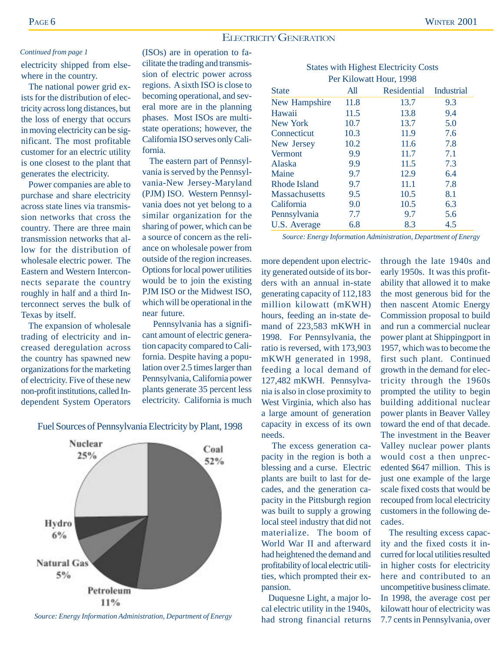#### ELECTRICITY GENERATION

#### *Continued from page 1*

electricity shipped from elsewhere in the country.

 The national power grid exists for the distribution of electricity across long distances, but the loss of energy that occurs in moving electricity can be significant. The most profitable customer for an electric utility is one closest to the plant that generates the electricity.

Power companies are able to purchase and share electricity across state lines via transmission networks that cross the country. There are three main transmission networks that allow for the distribution of wholesale electric power. The Eastern and Western Interconnects separate the country roughly in half and a third Interconnect serves the bulk of Texas by itself.

The expansion of wholesale trading of electricity and increased deregulation across the country has spawned new organizations for the marketing of electricity. Five of these new non-profit institutions, called Independent System Operators

(ISOs) are in operation to facilitate the trading and transmission of electric power across regions. A sixth ISO is close to becoming operational, and several more are in the planning phases. Most ISOs are multistate operations; however, the California ISO serves only California.

 The eastern part of Pennsylvania is served by the Pennsylvania-New Jersey-Maryland (PJM) ISO. Western Pennsylvania does not yet belong to a similar organization for the sharing of power, which can be a source of concern as the reliance on wholesale power from outside of the region increases. Options for local power utilities would be to join the existing PJM ISO or the Midwest ISO, which will be operational in the near future.

 Pennsylvania has a significant amount of electric generation capacity compared to California. Despite having a population over 2.5 times larger than Pennsylvania, California power plants generate 35 percent less electricity. California is much

Fuel Sources of Pennsylvania Electricity by Plant, 1998



*Source: Energy Information Administration, Department of Energy*

| <b>States with Highest Electricity Costs</b> |      |                         |     |  |  |  |  |  |
|----------------------------------------------|------|-------------------------|-----|--|--|--|--|--|
|                                              |      | Per Kilowatt Hour, 1998 |     |  |  |  |  |  |
| Residential<br>State<br>Industrial<br>All    |      |                         |     |  |  |  |  |  |
| <b>New Hampshire</b>                         | 11.8 | 13.7                    | 9.3 |  |  |  |  |  |
| Hawaii                                       | 11.5 | 13.8                    | 9.4 |  |  |  |  |  |
| New York                                     | 10.7 | 13.7                    | 5.0 |  |  |  |  |  |
| Connecticut                                  | 10.3 | 11.9                    | 7.6 |  |  |  |  |  |
| New Jersey                                   | 10.2 | 11.6                    | 7.8 |  |  |  |  |  |
| Vermont                                      | 9.9  | 11.7                    | 7.1 |  |  |  |  |  |
| Alaska                                       | 9.9  | 11.5                    | 7.3 |  |  |  |  |  |
| Maine                                        | 9.7  | 12.9                    | 6.4 |  |  |  |  |  |

*Source: Energy Information Administration, Department of Energy*

Rhode Island 9.7 11.1 7.8 Massachusetts 9.5 10.5 8.1 California 9.0 10.5 6.3 Pennsylvania 7.7 9.7 5.6 U.S. Average 6.8 8.3 4.5

more dependent upon electricity generated outside of its borders with an annual in-state generating capacity of 112,183 million kilowatt (mKWH) hours, feeding an in-state demand of 223,583 mKWH in 1998. For Pennsylvania, the ratio is reversed, with 173,903 mKWH generated in 1998, feeding a local demand of 127,482 mKWH. Pennsylvania is also in close proximity to West Virginia, which also has a large amount of generation capacity in excess of its own needs.

 The excess generation capacity in the region is both a blessing and a curse. Electric plants are built to last for decades, and the generation capacity in the Pittsburgh region was built to supply a growing local steel industry that did not materialize. The boom of World War II and afterward had heightened the demand and profitability of local electric utilities, which prompted their expansion.

 Duquesne Light, a major local electric utility in the 1940s, had strong financial returns through the late 1940s and early 1950s. It was this profitability that allowed it to make the most generous bid for the then nascent Atomic Energy Commission proposal to build and run a commercial nuclear power plant at Shippingport in 1957, which was to become the first such plant. Continued growth in the demand for electricity through the 1960s prompted the utility to begin building additional nuclear power plants in Beaver Valley toward the end of that decade. The investment in the Beaver Valley nuclear power plants would cost a then unprecedented \$647 million. This is just one example of the large scale fixed costs that would be recouped from local electricity customers in the following decades.

 The resulting excess capacity and the fixed costs it incurred for local utilities resulted in higher costs for electricity here and contributed to an uncompetitive business climate. In 1998, the average cost per kilowatt hour of electricity was 7.7 cents in Pennsylvania, over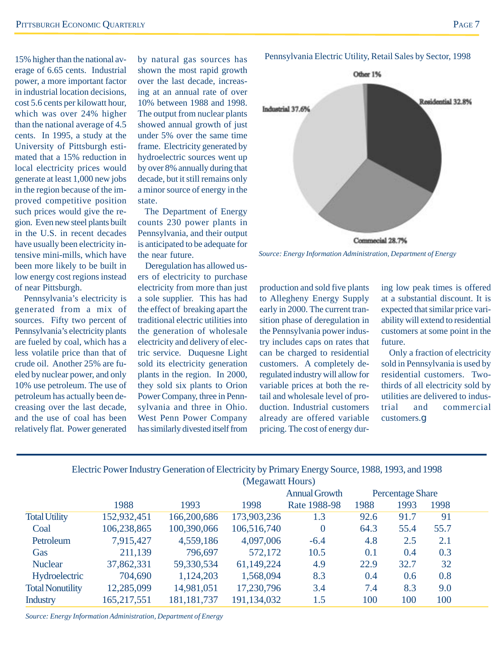15% higher than the national average of 6.65 cents. Industrial power, a more important factor in industrial location decisions, cost 5.6 cents per kilowatt hour, which was over 24% higher than the national average of 4.5 cents. In 1995, a study at the University of Pittsburgh estimated that a 15% reduction in local electricity prices would generate at least 1,000 new jobs in the region because of the improved competitive position such prices would give the region. Even new steel plants built in the U.S. in recent decades have usually been electricity intensive mini-mills, which have been more likely to be built in low energy cost regions instead of near Pittsburgh.

 Pennsylvania's electricity is generated from a mix of sources. Fifty two percent of Pennsylvania's electricity plants are fueled by coal, which has a less volatile price than that of crude oil. Another 25% are fueled by nuclear power, and only 10% use petroleum. The use of petroleum has actually been decreasing over the last decade, and the use of coal has been relatively flat. Power generated

by natural gas sources has shown the most rapid growth over the last decade, increasing at an annual rate of over 10% between 1988 and 1998. The output from nuclear plants showed annual growth of just under 5% over the same time frame. Electricity generated by hydroelectric sources went up by over 8% annually during that decade, but it still remains only a minor source of energy in the state.

 The Department of Energy counts 230 power plants in Pennsylvania, and their output is anticipated to be adequate for the near future.

Deregulation has allowed users of electricity to purchase electricity from more than just a sole supplier. This has had the effect of breaking apart the traditional electric utilities into the generation of wholesale electricity and delivery of electric service. Duquesne Light sold its electricity generation plants in the region. In 2000, they sold six plants to Orion Power Company, three in Pennsylvania and three in Ohio. West Penn Power Company has similarly divested itself from



*Source: Energy Information Administration, Department of Energy*

production and sold five plants to Allegheny Energy Supply early in 2000. The current transition phase of deregulation in the Pennsylvania power industry includes caps on rates that can be charged to residential customers. A completely deregulated industry will allow for variable prices at both the retail and wholesale level of production. Industrial customers already are offered variable pricing. The cost of energy during low peak times is offered at a substantial discount. It is expected that similar price variability will extend to residential customers at some point in the future.

 Only a fraction of electricity sold in Pennsylvania is used by residential customers. Twothirds of all electricity sold by utilities are delivered to industrial and commercial customers.g

|                         | Encent C over magnet concluded or Encent car by T minute Encircy Bource, 1700, 1773, and 1770 |               |                  |                      |      |                         |      |  |
|-------------------------|-----------------------------------------------------------------------------------------------|---------------|------------------|----------------------|------|-------------------------|------|--|
|                         |                                                                                               |               | (Megawatt Hours) |                      |      |                         |      |  |
|                         |                                                                                               |               |                  | <b>Annual Growth</b> |      | <b>Percentage Share</b> |      |  |
|                         | 1988                                                                                          | 1993          | 1998             | Rate 1988-98         | 1988 | 1993                    | 1998 |  |
| <b>Total Utility</b>    | 152,932,451                                                                                   | 166,200,686   | 173,903,236      | 1.3                  | 92.6 | 91.7                    | 91   |  |
| Coal                    | 106,238,865                                                                                   | 100,390,066   | 106,516,740      | $\overline{0}$       | 64.3 | 55.4                    | 55.7 |  |
| Petroleum               | 7,915,427                                                                                     | 4,559,186     | 4,097,006        | $-6.4$               | 4.8  | 2.5                     | 2.1  |  |
| Gas                     | 211,139                                                                                       | 796,697       | 572,172          | 10.5                 | 0.1  | 0.4                     | 0.3  |  |
| <b>Nuclear</b>          | 37,862,331                                                                                    | 59,330,534    | 61,149,224       | 4.9                  | 22.9 | 32.7                    | 32   |  |
| Hydroelectric           | 704,690                                                                                       | 1,124,203     | 1,568,094        | 8.3                  | 0.4  | 0.6                     | 0.8  |  |
| <b>Total Nonutility</b> | 12,285,099                                                                                    | 14,981,051    | 17,230,796       | 3.4                  | 7.4  | 8.3                     | 9.0  |  |
| <b>Industry</b>         | 165,217,551                                                                                   | 181, 181, 737 | 191,134,032      | 1.5                  | 100  | 100                     | 100  |  |

## Electric Power Industry Generation of Electricity by Primary Energy Source, 1988, 1993, and 1998

*Source: Energy Information Administration, Department of Energy*

#### Pennsylvania Electric Utility, Retail Sales by Sector, 1998